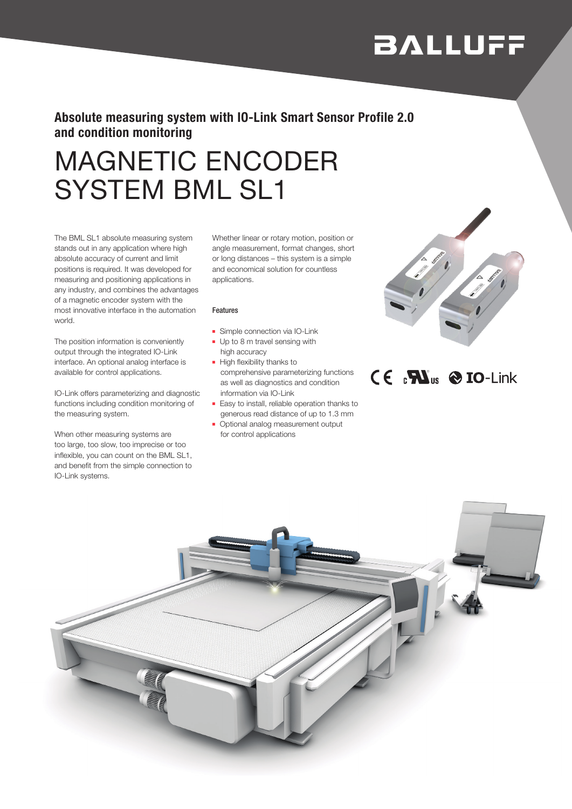# **BALLUFF**

## Absolute measuring system with IO-Link Smart Sensor Profile 2.0 and condition monitoring

# MAGNETIC ENCODER SYSTEM BML SL1

The BML SL1 absolute measuring system stands out in any application where high absolute accuracy of current and limit positions is required. It was developed for measuring and positioning applications in any industry, and combines the advantages of a magnetic encoder system with the most innovative interface in the automation world.

The position information is conveniently output through the integrated IO-Link interface. An optional analog interface is available for control applications.

IO-Link offers parameterizing and diagnostic functions including condition monitoring of the measuring system.

When other measuring systems are too large, too slow, too imprecise or too inflexible, you can count on the BML SL1, and benefit from the simple connection to IO-Link systems.

Whether linear or rotary motion, position or angle measurement, format changes, short or long distances – this system is a simple and economical solution for countless applications.

#### Features

- Simple connection via IO-Link
- Up to 8 m travel sensing with high accuracy
- High flexibility thanks to comprehensive parameterizing functions as well as diagnostics and condition information via IO-Link
- Easy to install, reliable operation thanks to generous read distance of up to 1.3 mm
- Optional analog measurement output for control applications



## $C \in R$ **N**<sub>us</sub>  $\otimes$  **IO**-Link